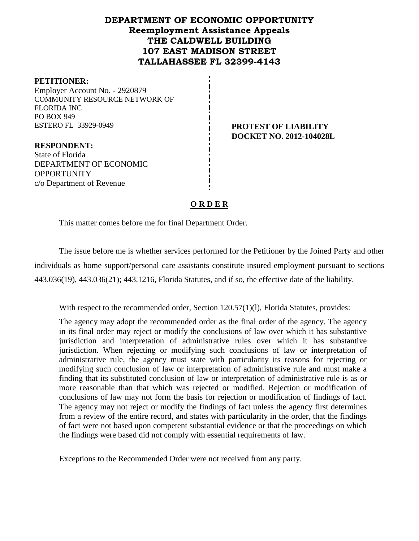#### **DEPARTMENT OF ECONOMIC OPPORTUNITY Reemployment Assistance Appeals THE CALDWELL BUILDING 107 EAST MADISON STREET TALLAHASSEE FL 32399-4143**

#### **PETITIONER:**

**OPPORTUNITY** 

Employer Account No. - 2920879 COMMUNITY RESOURCE NETWORK OF FLORIDA INC PO BOX 949 ESTERO FL 33929-0949 **PROTEST OF LIABILITY** 

**RESPONDENT:** State of Florida DEPARTMENT OF ECONOMIC

c/o Department of Revenue

# **DOCKET NO. 2012-104028L**

## **O R D E R**

This matter comes before me for final Department Order.

The issue before me is whether services performed for the Petitioner by the Joined Party and other individuals as home support/personal care assistants constitute insured employment pursuant to sections 443.036(19), 443.036(21); 443.1216, Florida Statutes, and if so, the effective date of the liability.

With respect to the recommended order, Section 120.57(1)(1), Florida Statutes, provides:

The agency may adopt the recommended order as the final order of the agency. The agency in its final order may reject or modify the conclusions of law over which it has substantive jurisdiction and interpretation of administrative rules over which it has substantive jurisdiction. When rejecting or modifying such conclusions of law or interpretation of administrative rule, the agency must state with particularity its reasons for rejecting or modifying such conclusion of law or interpretation of administrative rule and must make a finding that its substituted conclusion of law or interpretation of administrative rule is as or more reasonable than that which was rejected or modified. Rejection or modification of conclusions of law may not form the basis for rejection or modification of findings of fact. The agency may not reject or modify the findings of fact unless the agency first determines from a review of the entire record, and states with particularity in the order, that the findings of fact were not based upon competent substantial evidence or that the proceedings on which the findings were based did not comply with essential requirements of law.

Exceptions to the Recommended Order were not received from any party.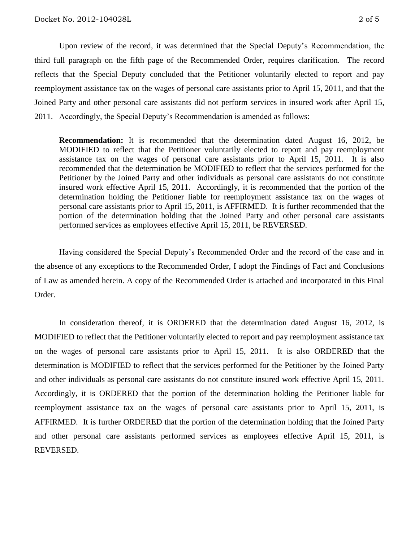Upon review of the record, it was determined that the Special Deputy's Recommendation, the third full paragraph on the fifth page of the Recommended Order, requires clarification. The record reflects that the Special Deputy concluded that the Petitioner voluntarily elected to report and pay reemployment assistance tax on the wages of personal care assistants prior to April 15, 2011, and that the Joined Party and other personal care assistants did not perform services in insured work after April 15, 2011. Accordingly, the Special Deputy's Recommendation is amended as follows:

**Recommendation:** It is recommended that the determination dated August 16, 2012, be MODIFIED to reflect that the Petitioner voluntarily elected to report and pay reemployment assistance tax on the wages of personal care assistants prior to April 15, 2011. It is also recommended that the determination be MODIFIED to reflect that the services performed for the Petitioner by the Joined Party and other individuals as personal care assistants do not constitute insured work effective April 15, 2011. Accordingly, it is recommended that the portion of the determination holding the Petitioner liable for reemployment assistance tax on the wages of personal care assistants prior to April 15, 2011, is AFFIRMED. It is further recommended that the portion of the determination holding that the Joined Party and other personal care assistants performed services as employees effective April 15, 2011, be REVERSED.

Having considered the Special Deputy's Recommended Order and the record of the case and in the absence of any exceptions to the Recommended Order, I adopt the Findings of Fact and Conclusions of Law as amended herein. A copy of the Recommended Order is attached and incorporated in this Final Order.

In consideration thereof, it is ORDERED that the determination dated August 16, 2012, is MODIFIED to reflect that the Petitioner voluntarily elected to report and pay reemployment assistance tax on the wages of personal care assistants prior to April 15, 2011. It is also ORDERED that the determination is MODIFIED to reflect that the services performed for the Petitioner by the Joined Party and other individuals as personal care assistants do not constitute insured work effective April 15, 2011. Accordingly, it is ORDERED that the portion of the determination holding the Petitioner liable for reemployment assistance tax on the wages of personal care assistants prior to April 15, 2011, is AFFIRMED. It is further ORDERED that the portion of the determination holding that the Joined Party and other personal care assistants performed services as employees effective April 15, 2011, is REVERSED.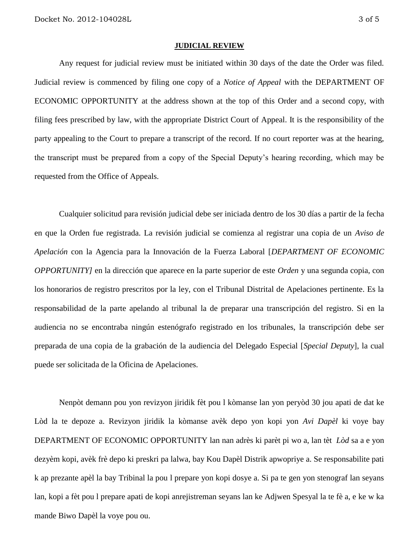#### **JUDICIAL REVIEW**

Any request for judicial review must be initiated within 30 days of the date the Order was filed. Judicial review is commenced by filing one copy of a *Notice of Appeal* with the DEPARTMENT OF ECONOMIC OPPORTUNITY at the address shown at the top of this Order and a second copy, with filing fees prescribed by law, with the appropriate District Court of Appeal. It is the responsibility of the party appealing to the Court to prepare a transcript of the record. If no court reporter was at the hearing, the transcript must be prepared from a copy of the Special Deputy's hearing recording, which may be requested from the Office of Appeals.

Cualquier solicitud para revisión judicial debe ser iniciada dentro de los 30 días a partir de la fecha en que la Orden fue registrada. La revisión judicial se comienza al registrar una copia de un *Aviso de Apelación* con la Agencia para la Innovación de la Fuerza Laboral [*DEPARTMENT OF ECONOMIC OPPORTUNITY]* en la dirección que aparece en la parte superior de este *Orden* y una segunda copia, con los honorarios de registro prescritos por la ley, con el Tribunal Distrital de Apelaciones pertinente. Es la responsabilidad de la parte apelando al tribunal la de preparar una transcripción del registro. Si en la audiencia no se encontraba ningún estenógrafo registrado en los tribunales, la transcripción debe ser preparada de una copia de la grabación de la audiencia del Delegado Especial [*Special Deputy*], la cual puede ser solicitada de la Oficina de Apelaciones.

Nenpòt demann pou yon revizyon jiridik fèt pou l kòmanse lan yon peryòd 30 jou apati de dat ke Lòd la te depoze a. Revizyon jiridik la kòmanse avèk depo yon kopi yon *Avi Dapèl* ki voye bay DEPARTMENT OF ECONOMIC OPPORTUNITY lan nan adrès ki parèt pi wo a, lan tèt *Lòd* sa a e yon dezyèm kopi, avèk frè depo ki preskri pa lalwa, bay Kou Dapèl Distrik apwopriye a. Se responsabilite pati k ap prezante apèl la bay Tribinal la pou l prepare yon kopi dosye a. Si pa te gen yon stenograf lan seyans lan, kopi a fèt pou l prepare apati de kopi anrejistreman seyans lan ke Adjwen Spesyal la te fè a, e ke w ka mande Biwo Dapèl la voye pou ou.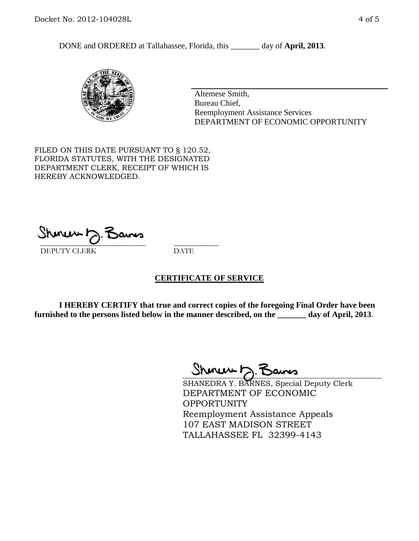DONE and ORDERED at Tallahassee, Florida, this \_\_\_\_\_\_\_ day of **April, 2013**.



Altemese Smith, Bureau Chief, Reemployment Assistance Services DEPARTMENT OF ECONOMIC OPPORTUNITY

FILED ON THIS DATE PURSUANT TO § 120.52, FLORIDA STATUTES, WITH THE DESIGNATED DEPARTMENT CLERK, RECEIPT OF WHICH IS HEREBY ACKNOWLEDGED.

 $\overline{\phantom{a}}$  ,  $\overline{\phantom{a}}$  ,  $\overline{\phantom{a}}$  ,  $\overline{\phantom{a}}$  ,  $\overline{\phantom{a}}$  ,  $\overline{\phantom{a}}$  ,  $\overline{\phantom{a}}$  ,  $\overline{\phantom{a}}$  ,  $\overline{\phantom{a}}$  ,  $\overline{\phantom{a}}$  ,  $\overline{\phantom{a}}$  ,  $\overline{\phantom{a}}$  ,  $\overline{\phantom{a}}$  ,  $\overline{\phantom{a}}$  ,  $\overline{\phantom{a}}$  ,  $\overline{\phantom{a}}$ DEPUTY CLERK DATE

#### **CERTIFICATE OF SERVICE**

**I HEREBY CERTIFY that true and correct copies of the foregoing Final Order have been furnished to the persons listed below in the manner described, on the \_\_\_\_\_\_\_ day of April, 2013**.

 $ShmumE, F$ 

SHANEDRA Y. BARNES, Special Deputy Clerk DEPARTMENT OF ECONOMIC **OPPORTUNITY** Reemployment Assistance Appeals 107 EAST MADISON STREET TALLAHASSEE FL 32399-4143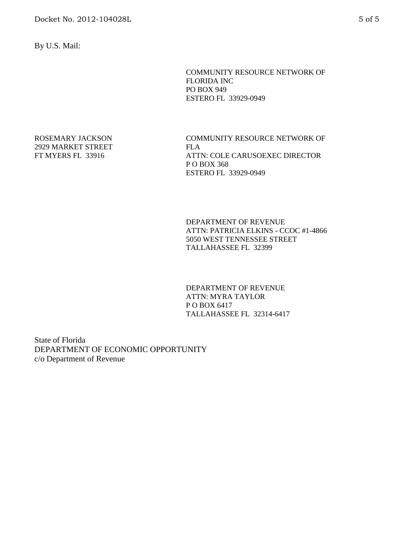By U.S. Mail:

COMMUNITY RESOURCE NETWORK OF FLORIDA INC PO BOX 949 ESTERO FL 33929-0949

ROSEMARY JACKSON 2929 MARKET STREET FT MYERS FL 33916

COMMUNITY RESOURCE NETWORK OF FLA ATTN: COLE CARUSOEXEC DIRECTOR P O BOX 368 ESTERO FL 33929-0949

DEPARTMENT OF REVENUE ATTN: PATRICIA ELKINS - CCOC #1-4866 5050 WEST TENNESSEE STREET TALLAHASSEE FL 32399

DEPARTMENT OF REVENUE ATTN: MYRA TAYLOR P O BOX 6417 TALLAHASSEE FL 32314-6417

State of Florida DEPARTMENT OF ECONOMIC OPPORTUNITY c/o Department of Revenue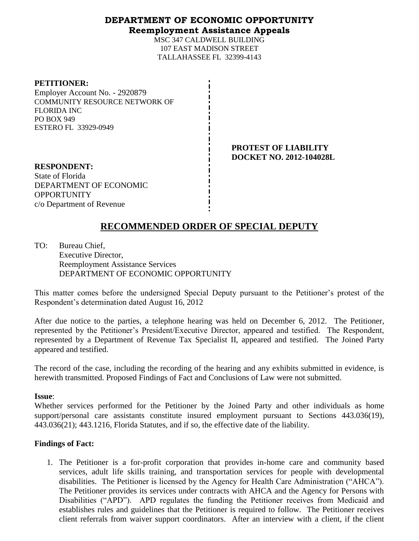#### **DEPARTMENT OF ECONOMIC OPPORTUNITY Reemployment Assistance Appeals**

MSC 347 CALDWELL BUILDING 107 EAST MADISON STREET TALLAHASSEE FL 32399-4143

| <b>PETITIONER:</b> |
|--------------------|
|--------------------|

Employer Account No. - 2920879 COMMUNITY RESOURCE NETWORK OF FLORIDA INC PO BOX 949 ESTERO FL 33929-0949

> **PROTEST OF LIABILITY DOCKET NO. 2012-104028L**

**RESPONDENT:** State of Florida DEPARTMENT OF ECONOMIC **OPPORTUNITY** c/o Department of Revenue

### **RECOMMENDED ORDER OF SPECIAL DEPUTY**

TO: Bureau Chief, Executive Director, Reemployment Assistance Services DEPARTMENT OF ECONOMIC OPPORTUNITY

This matter comes before the undersigned Special Deputy pursuant to the Petitioner's protest of the Respondent's determination dated August 16, 2012

After due notice to the parties, a telephone hearing was held on December 6, 2012. The Petitioner, represented by the Petitioner's President/Executive Director, appeared and testified. The Respondent, represented by a Department of Revenue Tax Specialist II, appeared and testified. The Joined Party appeared and testified.

The record of the case, including the recording of the hearing and any exhibits submitted in evidence, is herewith transmitted. Proposed Findings of Fact and Conclusions of Law were not submitted.

**Issue**:

Whether services performed for the Petitioner by the Joined Party and other individuals as home support/personal care assistants constitute insured employment pursuant to Sections 443.036(19), 443.036(21); 443.1216, Florida Statutes, and if so, the effective date of the liability.

#### **Findings of Fact:**

1. The Petitioner is a for-profit corporation that provides in-home care and community based services, adult life skills training, and transportation services for people with developmental disabilities. The Petitioner is licensed by the Agency for Health Care Administration ("AHCA"). The Petitioner provides its services under contracts with AHCA and the Agency for Persons with Disabilities ("APD"). APD regulates the funding the Petitioner receives from Medicaid and establishes rules and guidelines that the Petitioner is required to follow. The Petitioner receives client referrals from waiver support coordinators. After an interview with a client, if the client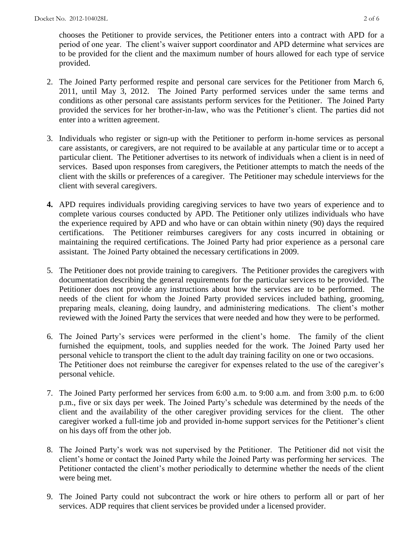chooses the Petitioner to provide services, the Petitioner enters into a contract with APD for a period of one year. The client's waiver support coordinator and APD determine what services are to be provided for the client and the maximum number of hours allowed for each type of service provided.

- 2. The Joined Party performed respite and personal care services for the Petitioner from March 6, 2011, until May 3, 2012. The Joined Party performed services under the same terms and conditions as other personal care assistants perform services for the Petitioner. The Joined Party provided the services for her brother-in-law, who was the Petitioner's client. The parties did not enter into a written agreement.
- 3. Individuals who register or sign-up with the Petitioner to perform in-home services as personal care assistants, or caregivers, are not required to be available at any particular time or to accept a particular client. The Petitioner advertises to its network of individuals when a client is in need of services. Based upon responses from caregivers, the Petitioner attempts to match the needs of the client with the skills or preferences of a caregiver. The Petitioner may schedule interviews for the client with several caregivers.
- **4.** APD requires individuals providing caregiving services to have two years of experience and to complete various courses conducted by APD. The Petitioner only utilizes individuals who have the experience required by APD and who have or can obtain within ninety (90) days the required certifications. The Petitioner reimburses caregivers for any costs incurred in obtaining or maintaining the required certifications. The Joined Party had prior experience as a personal care assistant. The Joined Party obtained the necessary certifications in 2009.
- 5. The Petitioner does not provide training to caregivers. The Petitioner provides the caregivers with documentation describing the general requirements for the particular services to be provided. The Petitioner does not provide any instructions about how the services are to be performed.The needs of the client for whom the Joined Party provided services included bathing, grooming, preparing meals, cleaning, doing laundry, and administering medications. The client's mother reviewed with the Joined Party the services that were needed and how they were to be performed.
- 6. The Joined Party's services were performed in the client's home. The family of the client furnished the equipment, tools, and supplies needed for the work. The Joined Party used her personal vehicle to transport the client to the adult day training facility on one or two occasions. The Petitioner does not reimburse the caregiver for expenses related to the use of the caregiver's personal vehicle.
- 7. The Joined Party performed her services from 6:00 a.m. to 9:00 a.m. and from 3:00 p.m. to 6:00 p.m., five or six days per week. The Joined Party's schedule was determined by the needs of the client and the availability of the other caregiver providing services for the client. The other caregiver worked a full-time job and provided in-home support services for the Petitioner's client on his days off from the other job.
- 8. The Joined Party's work was not supervised by the Petitioner. The Petitioner did not visit the client's home or contact the Joined Party while the Joined Party was performing her services. The Petitioner contacted the client's mother periodically to determine whether the needs of the client were being met.
- 9. The Joined Party could not subcontract the work or hire others to perform all or part of her services. ADP requires that client services be provided under a licensed provider.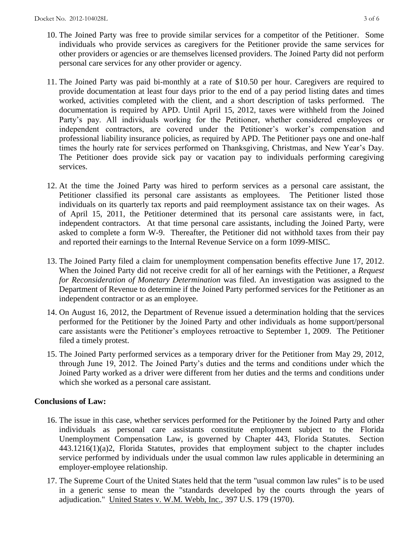- 10. The Joined Party was free to provide similar services for a competitor of the Petitioner. Some individuals who provide services as caregivers for the Petitioner provide the same services for other providers or agencies or are themselves licensed providers. The Joined Party did not perform personal care services for any other provider or agency.
- 11. The Joined Party was paid bi-monthly at a rate of \$10.50 per hour. Caregivers are required to provide documentation at least four days prior to the end of a pay period listing dates and times worked, activities completed with the client, and a short description of tasks performed. The documentation is required by APD. Until April 15, 2012, taxes were withheld from the Joined Party's pay. All individuals working for the Petitioner, whether considered employees or independent contractors, are covered under the Petitioner's worker's compensation and professional liability insurance policies, as required by APD. The Petitioner pays one and one-half times the hourly rate for services performed on Thanksgiving, Christmas, and New Year's Day. The Petitioner does provide sick pay or vacation pay to individuals performing caregiving services.
- 12. At the time the Joined Party was hired to perform services as a personal care assistant, the Petitioner classified its personal care assistants as employees. The Petitioner listed those individuals on its quarterly tax reports and paid reemployment assistance tax on their wages. As of April 15, 2011, the Petitioner determined that its personal care assistants were, in fact, independent contractors. At that time personal care assistants, including the Joined Party, were asked to complete a form W-9. Thereafter, the Petitioner did not withhold taxes from their pay and reported their earnings to the Internal Revenue Service on a form 1099-MISC.
- 13. The Joined Party filed a claim for unemployment compensation benefits effective June 17, 2012. When the Joined Party did not receive credit for all of her earnings with the Petitioner, a *Request for Reconsideration of Monetary Determination* was filed. An investigation was assigned to the Department of Revenue to determine if the Joined Party performed services for the Petitioner as an independent contractor or as an employee.
- 14. On August 16, 2012, the Department of Revenue issued a determination holding that the services performed for the Petitioner by the Joined Party and other individuals as home support/personal care assistants were the Petitioner's employees retroactive to September 1, 2009. The Petitioner filed a timely protest.
- 15. The Joined Party performed services as a temporary driver for the Petitioner from May 29, 2012, through June 19, 2012. The Joined Party's duties and the terms and conditions under which the Joined Party worked as a driver were different from her duties and the terms and conditions under which she worked as a personal care assistant.

#### **Conclusions of Law:**

- 16. The issue in this case, whether services performed for the Petitioner by the Joined Party and other individuals as personal care assistants constitute employment subject to the Florida Unemployment Compensation Law, is governed by Chapter 443, Florida Statutes. Section 443.1216(1)(a)2, Florida Statutes, provides that employment subject to the chapter includes service performed by individuals under the usual common law rules applicable in determining an employer-employee relationship.
- 17. The Supreme Court of the United States held that the term "usual common law rules" is to be used in a generic sense to mean the "standards developed by the courts through the years of adjudication." United States v. W.M. Webb, Inc., 397 U.S. 179 (1970).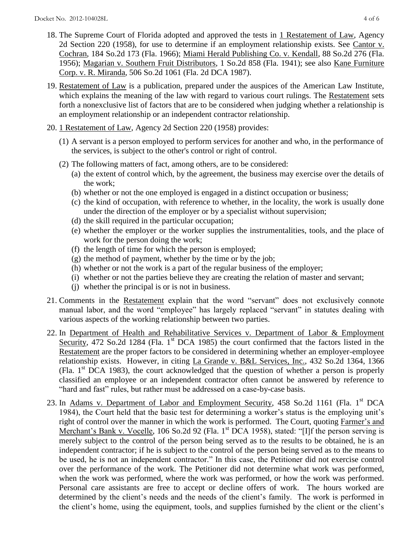- 18. The Supreme Court of Florida adopted and approved the tests in 1 Restatement of Law, Agency 2d Section 220 (1958), for use to determine if an employment relationship exists. See Cantor v. Cochran, 184 So.2d 173 (Fla. 1966); Miami Herald Publishing Co. v. Kendall, 88 So.2d 276 (Fla. 1956); Magarian v. Southern Fruit Distributors, 1 So.2d 858 (Fla. 1941); see also Kane Furniture Corp. v. R. Miranda, 506 So.2d 1061 (Fla. 2d DCA 1987).
- 19. Restatement of Law is a publication, prepared under the auspices of the American Law Institute, which explains the meaning of the law with regard to various court rulings. The Restatement sets forth a nonexclusive list of factors that are to be considered when judging whether a relationship is an employment relationship or an independent contractor relationship.
- 20. 1 Restatement of Law, Agency 2d Section 220 (1958) provides:
	- (1) A servant is a person employed to perform services for another and who, in the performance of the services, is subject to the other's control or right of control.
	- (2) The following matters of fact, among others, are to be considered:
		- (a) the extent of control which, by the agreement, the business may exercise over the details of the work;
		- (b) whether or not the one employed is engaged in a distinct occupation or business;
		- (c) the kind of occupation, with reference to whether, in the locality, the work is usually done under the direction of the employer or by a specialist without supervision;
		- (d) the skill required in the particular occupation;
		- (e) whether the employer or the worker supplies the instrumentalities, tools, and the place of work for the person doing the work;
		- (f) the length of time for which the person is employed;
		- (g) the method of payment, whether by the time or by the job;
		- (h) whether or not the work is a part of the regular business of the employer;
		- (i) whether or not the parties believe they are creating the relation of master and servant;
		- (j) whether the principal is or is not in business.
- 21. Comments in the Restatement explain that the word "servant" does not exclusively connote manual labor, and the word "employee" has largely replaced "servant" in statutes dealing with various aspects of the working relationship between two parties.
- 22. In Department of Health and Rehabilitative Services v. Department of Labor & Employment Security, 472 So.2d 1284 (Fla. 1<sup>st</sup> DCA 1985) the court confirmed that the factors listed in the Restatement are the proper factors to be considered in determining whether an employer-employee relationship exists. However, in citing La Grande v. B&L Services, Inc., 432 So.2d 1364, 1366 (Fla.  $1<sup>st</sup> DCA$  1983), the court acknowledged that the question of whether a person is properly classified an employee or an independent contractor often cannot be answered by reference to "hard and fast" rules, but rather must be addressed on a case-by-case basis.
- 23. In Adams v. Department of Labor and Employment Security, 458 So.2d 1161 (Fla. 1<sup>st</sup> DCA 1984), the Court held that the basic test for determining a worker's status is the employing unit's right of control over the manner in which the work is performed. The Court, quoting Farmer's and Merchant's Bank v. Vocelle, 106 So.2d 92 (Fla. 1<sup>st</sup> DCA 1958), stated: "[I]f the person serving is merely subject to the control of the person being served as to the results to be obtained, he is an independent contractor; if he is subject to the control of the person being served as to the means to be used, he is not an independent contractor." In this case, the Petitioner did not exercise control over the performance of the work. The Petitioner did not determine what work was performed, when the work was performed, where the work was performed, or how the work was performed. Personal care assistants are free to accept or decline offers of work. The hours worked are determined by the client's needs and the needs of the client's family. The work is performed in the client's home, using the equipment, tools, and supplies furnished by the client or the client's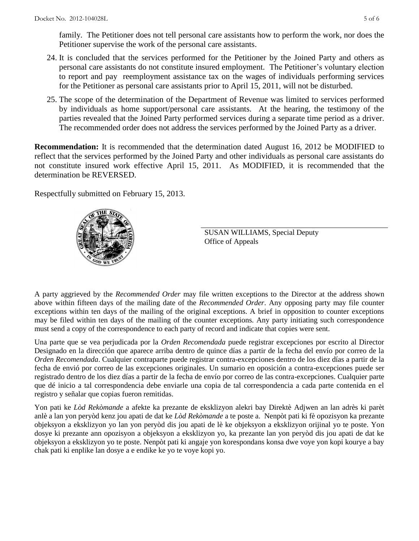family. The Petitioner does not tell personal care assistants how to perform the work, nor does the Petitioner supervise the work of the personal care assistants.

- 24. It is concluded that the services performed for the Petitioner by the Joined Party and others as personal care assistants do not constitute insured employment. The Petitioner's voluntary election to report and pay reemployment assistance tax on the wages of individuals performing services for the Petitioner as personal care assistants prior to April 15, 2011, will not be disturbed.
- 25. The scope of the determination of the Department of Revenue was limited to services performed by individuals as home support/personal care assistants. At the hearing, the testimony of the parties revealed that the Joined Party performed services during a separate time period as a driver. The recommended order does not address the services performed by the Joined Party as a driver.

**Recommendation:** It is recommended that the determination dated August 16, 2012 be MODIFIED to reflect that the services performed by the Joined Party and other individuals as personal care assistants do not constitute insured work effective April 15, 2011. As MODIFIED, it is recommended that the determination be REVERSED.

Respectfully submitted on February 15, 2013.



SUSAN WILLIAMS, Special Deputy Office of Appeals

A party aggrieved by the *Recommended Order* may file written exceptions to the Director at the address shown above within fifteen days of the mailing date of the *Recommended Order*. Any opposing party may file counter exceptions within ten days of the mailing of the original exceptions. A brief in opposition to counter exceptions may be filed within ten days of the mailing of the counter exceptions. Any party initiating such correspondence must send a copy of the correspondence to each party of record and indicate that copies were sent.

Una parte que se vea perjudicada por la *Orden Recomendada* puede registrar excepciones por escrito al Director Designado en la dirección que aparece arriba dentro de quince días a partir de la fecha del envío por correo de la *Orden Recomendada*. Cualquier contraparte puede registrar contra-excepciones dentro de los diez días a partir de la fecha de envió por correo de las excepciones originales. Un sumario en oposición a contra-excepciones puede ser registrado dentro de los diez días a partir de la fecha de envío por correo de las contra-excepciones. Cualquier parte que dé inicio a tal correspondencia debe enviarle una copia de tal correspondencia a cada parte contenida en el registro y señalar que copias fueron remitidas.

Yon pati ke *Lòd Rekòmande* a afekte ka prezante de eksklizyon alekri bay Direktè Adjwen an lan adrès ki parèt anlè a lan yon peryòd kenz jou apati de dat ke *Lòd Rekòmande* a te poste a. Nenpòt pati ki fè opozisyon ka prezante objeksyon a eksklizyon yo lan yon peryòd dis jou apati de lè ke objeksyon a eksklizyon orijinal yo te poste. Yon dosye ki prezante ann opozisyon a objeksyon a eksklizyon yo, ka prezante lan yon peryòd dis jou apati de dat ke objeksyon a eksklizyon yo te poste. Nenpòt pati ki angaje yon korespondans konsa dwe voye yon kopi kourye a bay chak pati ki enplike lan dosye a e endike ke yo te voye kopi yo.